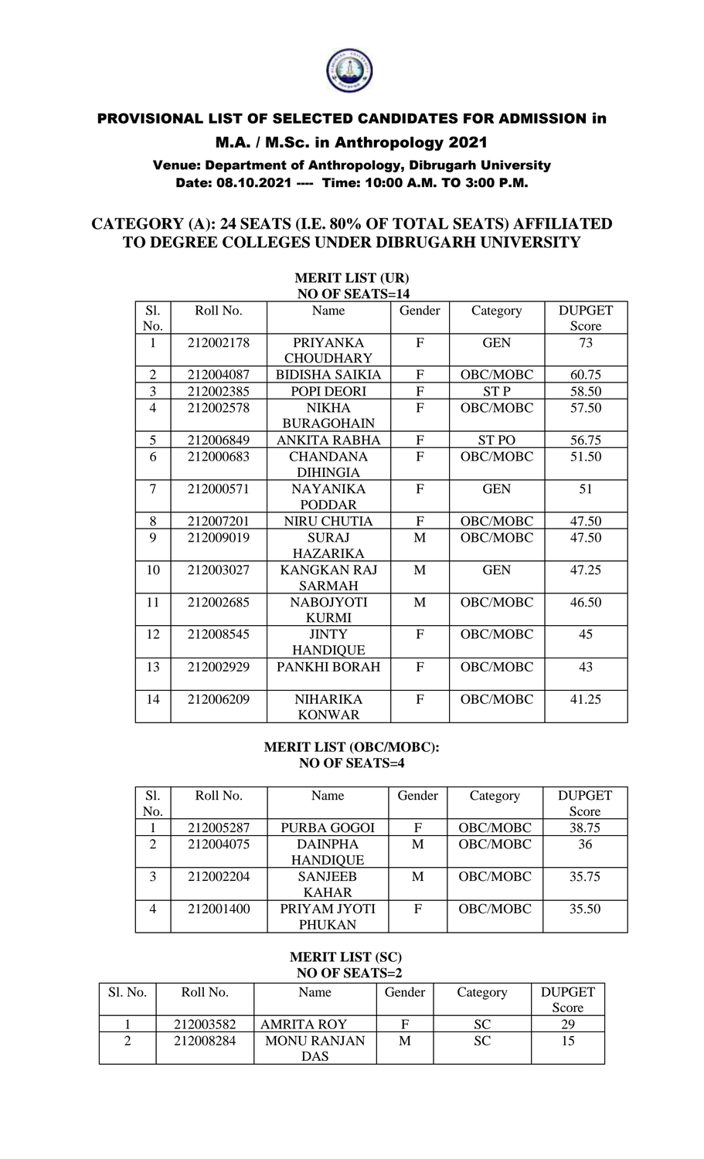

# PROVISIONAL LIST OF SELECTED CANDIDATES FOR ADMISSION in

### M.A. / M.Sc. in Anthropology 2021

Venue: Department of Anthropology, Dibrugarh University Date: 08.10.2021 ---- Time: 10:00 A.M. TO 3:00 P.M.

#### **CATEGORY (A): 24 SEATS (I.E. 80% OF TOTAL SEATS) AFFILIATED TO DEGREE COLLEGES UNDER DIBRUGARH UNIVERSITY**

|                | NU UF SEATS=14 |                       |              |                 |               |  |  |  |
|----------------|----------------|-----------------------|--------------|-----------------|---------------|--|--|--|
| Sl.            | Roll No.       | Name                  | Gender       | Category        | <b>DUPGET</b> |  |  |  |
| No.            |                |                       |              |                 | Score         |  |  |  |
| 1              | 212002178      | <b>PRIYANKA</b>       | $\mathbf{F}$ | <b>GEN</b>      | 73            |  |  |  |
|                |                | <b>CHOUDHARY</b>      |              |                 |               |  |  |  |
| $\overline{2}$ | 212004087      | <b>BIDISHA SAIKIA</b> | $\mathbf{F}$ | OBC/MOBC        | 60.75         |  |  |  |
| 3              | 212002385      | POPI DEORI            | $\mathbf{F}$ | <b>STP</b>      | 58.50         |  |  |  |
| $\overline{4}$ | 212002578      | <b>NIKHA</b>          | F            | OBC/MOBC        | 57.50         |  |  |  |
|                |                | <b>BURAGOHAIN</b>     |              |                 |               |  |  |  |
| 5              | 212006849      | ANKITA RABHA          | $\mathbf{F}$ | <b>STPO</b>     | 56.75         |  |  |  |
| 6              | 212000683      | <b>CHANDANA</b>       | F            | OBC/MOBC        | 51.50         |  |  |  |
|                |                | <b>DIHINGIA</b>       |              |                 |               |  |  |  |
| 7              | 212000571      | <b>NAYANIKA</b>       | F            | <b>GEN</b>      | 51            |  |  |  |
|                |                | <b>PODDAR</b>         |              |                 |               |  |  |  |
| 8              | 212007201      | NIRU CHUTIA           | $\mathbf{F}$ | OBC/MOBC        | 47.50         |  |  |  |
| 9              | 212009019      | <b>SURAJ</b>          | M            | <b>OBC/MOBC</b> | 47.50         |  |  |  |
|                |                | <b>HAZARIKA</b>       |              |                 |               |  |  |  |
| 10             | 212003027      | <b>KANGKAN RAJ</b>    | $\mathbf{M}$ | <b>GEN</b>      | 47.25         |  |  |  |
|                |                | <b>SARMAH</b>         |              |                 |               |  |  |  |
| 11             | 212002685      | <b>NABOJYOTI</b>      | M            | OBC/MOBC        | 46.50         |  |  |  |
|                |                | <b>KURMI</b>          |              |                 |               |  |  |  |
| 12             | 212008545      | <b>JINTY</b>          | $\mathbf{F}$ | OBC/MOBC        | 45            |  |  |  |
|                |                | <b>HANDIQUE</b>       |              |                 |               |  |  |  |
| 13             | 212002929      | PANKHI BORAH          | F            | OBC/MOBC        | 43            |  |  |  |
|                |                |                       |              |                 |               |  |  |  |
| 14             | 212006209      | <b>NIHARIKA</b>       | F            | OBC/MOBC        | 41.25         |  |  |  |
|                |                | <b>KONWAR</b>         |              |                 |               |  |  |  |

#### **MERIT LIST (UR) NO OF SEATS=14**

#### **MERIT LIST (OBC/MOBC): NO OF SEATS=4**

| Sl.                         | Roll No.  | Name            | Gender | Category        | <b>DUPGET</b> |
|-----------------------------|-----------|-----------------|--------|-----------------|---------------|
| No.                         |           |                 |        |                 | Score         |
|                             | 212005287 | PURBA GOGOI     | F      | OBC/MOBC        | 38.75         |
| $\mathcal{D}_{\mathcal{A}}$ | 212004075 | <b>DAINPHA</b>  | М      | OBC/MOBC        | 36            |
|                             |           | <b>HANDIQUE</b> |        |                 |               |
| 3                           | 212002204 | <b>SANJEEB</b>  | M      | <b>OBC/MOBC</b> | 35.75         |
|                             |           | <b>KAHAR</b>    |        |                 |               |
|                             | 212001400 | PRIYAM JYOTI    | F      | <b>OBC/MOBC</b> | 35.50         |
|                             |           | <b>PHUKAN</b>   |        |                 |               |

#### **MERIT LIST (SC) NO OF SEATS=2**

| Sl. No. | Roll No.  | Name               | Gender | Category  | <b>DUPGET</b> |
|---------|-----------|--------------------|--------|-----------|---------------|
|         |           |                    |        |           | Score         |
|         | 212003582 | <b>AMRITA ROY</b>  |        | <b>SC</b> | 29            |
|         | 212008284 | <b>MONU RANJAN</b> | M      | <b>SC</b> |               |
|         |           | DAS                |        |           |               |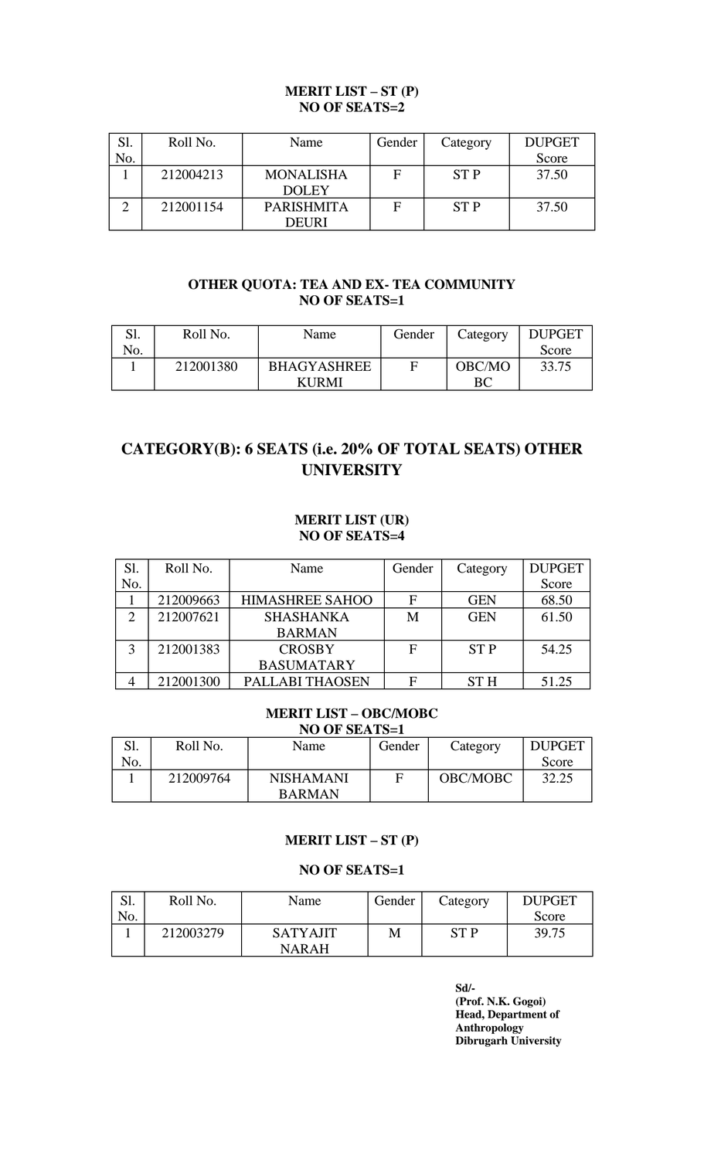#### **MERIT LIST – ST (P) NO OF SEATS=2**

|     | Roll No.  | Name              | Gender | Category   | <b>DUPGET</b> |
|-----|-----------|-------------------|--------|------------|---------------|
| No. |           |                   |        |            | Score         |
|     | 212004213 | <b>MONALISHA</b>  | F      | <b>STP</b> | 37.50         |
|     |           | <b>DOLEY</b>      |        |            |               |
|     | 212001154 | <b>PARISHMITA</b> | F      | <b>STP</b> | 37.50         |
|     |           | DEURI             |        |            |               |

#### **OTHER QUOTA: TEA AND EX- TEA COMMUNITY NO OF SEATS=1**

|     | Roll No.  | Name               | Gender | Category | <b>DUPGET</b> |
|-----|-----------|--------------------|--------|----------|---------------|
| No. |           |                    |        |          | Score         |
|     | 212001380 | <b>BHAGYASHREE</b> |        | OBC/MO   | 33.75         |
|     |           | <b>KURMI</b>       |        | ВC       |               |

## **CATEGORY(B): 6 SEATS (i.e. 20% OF TOTAL SEATS) OTHER UNIVERSITY**

#### **MERIT LIST (UR) NO OF SEATS=4**

| Sl.          | Roll No.  | Name                   | Gender | Category   | <b>DUPGET</b> |
|--------------|-----------|------------------------|--------|------------|---------------|
| No.          |           |                        |        |            | Score         |
|              | 212009663 | <b>HIMASHREE SAHOO</b> | F      | <b>GEN</b> | 68.50         |
| ⌒            | 212007621 | <b>SHASHANKA</b>       | M      | <b>GEN</b> | 61.50         |
|              |           | <b>BARMAN</b>          |        |            |               |
| $\mathbf{z}$ | 212001383 | <b>CROSBY</b>          | F      | <b>STP</b> | 54.25         |
|              |           | <b>BASUMATARY</b>      |        |            |               |
|              | 212001300 | PALLABI THAOSEN        | F      | <b>STH</b> | 51.25         |

#### **MERIT LIST – OBC/MOBC NO OF SEATS=1**

| Sl. | Roll No.  | Name             | Gender | Category | <b>DUPGET</b> |
|-----|-----------|------------------|--------|----------|---------------|
| No. |           |                  |        |          | Score         |
|     | 212009764 | <b>NISHAMANI</b> |        | OBC/MOBC | 32.25         |
|     |           | <b>BARMAN</b>    |        |          |               |

#### **MERIT LIST – ST (P)**

#### **NO OF SEATS=1**

| c١<br>.טג | Roll No.  | Name            | Gender | Category   | <b>DUPGET</b> |
|-----------|-----------|-----------------|--------|------------|---------------|
| No.       |           |                 |        |            | Score         |
|           | 212003279 | <b>SATYAJIT</b> | М      | <b>STP</b> | 39.75         |
|           |           | <b>NARAH</b>    |        |            |               |

**Sd/- (Prof. N.K. Gogoi) Head, Department of Anthropology Dibrugarh University**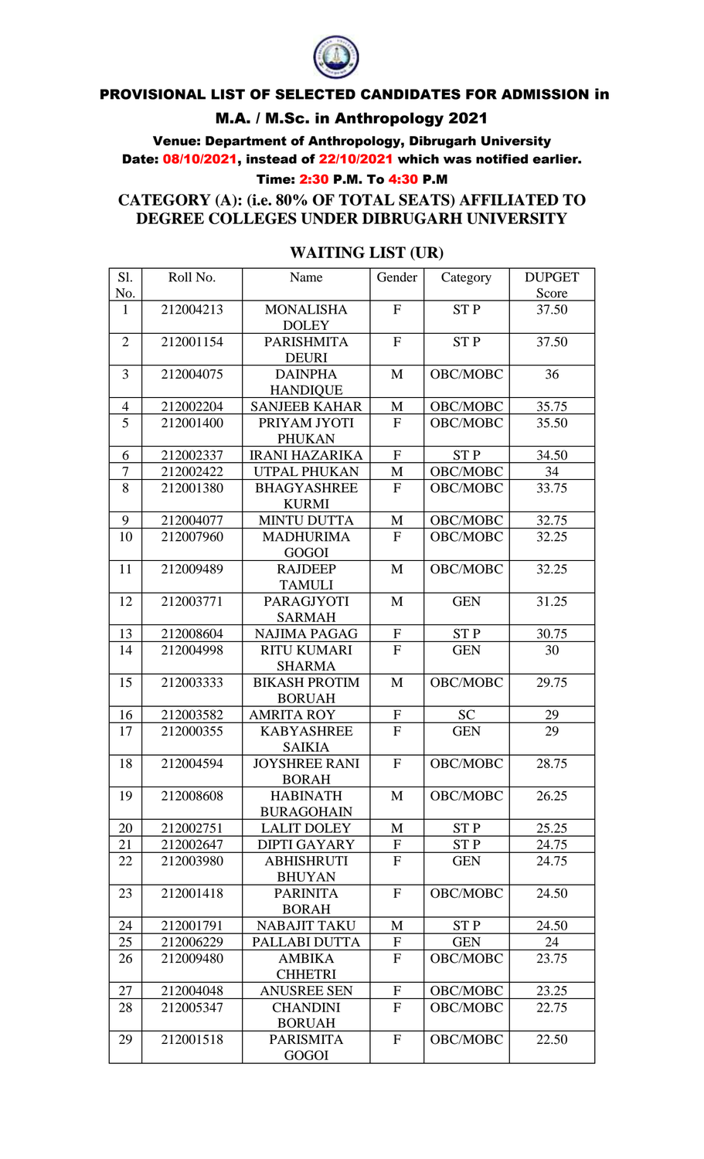

### PROVISIONAL LIST OF SELECTED CANDIDATES FOR ADMISSION in

### M.A. / M.Sc. in Anthropology 2021

Venue: Department of Anthropology, Dibrugarh University Date: 08/10/2021, instead of 22/10/2021 which was notified earlier.

#### Time: 2:30 P.M. To 4:30 P.M

**CATEGORY (A): (i.e. 80% OF TOTAL SEATS) AFFILIATED TO DEGREE COLLEGES UNDER DIBRUGARH UNIVERSITY**

## **WAITING LIST (UR)**

| Sl.            | Roll No.  | Name                              | Gender       | Category        | <b>DUPGET</b> |
|----------------|-----------|-----------------------------------|--------------|-----------------|---------------|
| No.            |           |                                   |              |                 | Score         |
| $\mathbf{1}$   | 212004213 | <b>MONALISHA</b>                  | $\mathbf{F}$ | ST <sub>P</sub> | 37.50         |
|                |           | <b>DOLEY</b>                      |              |                 |               |
| $\overline{2}$ | 212001154 | <b>PARISHMITA</b><br><b>DEURI</b> | $\mathbf{F}$ | <b>STP</b>      | 37.50         |
| 3              | 212004075 | <b>DAINPHA</b>                    | M            | OBC/MOBC        | 36            |
|                |           | <b>HANDIQUE</b>                   |              |                 |               |
| $\overline{4}$ | 212002204 | <b>SANJEEB KAHAR</b>              | M            | OBC/MOBC        | 35.75         |
| 5              | 212001400 | PRIYAM JYOTI                      | $\mathbf{F}$ | OBC/MOBC        | 35.50         |
|                |           | <b>PHUKAN</b>                     |              |                 |               |
| 6              | 212002337 | <b>IRANI HAZARIKA</b>             | ${\bf F}$    | <b>STP</b>      | 34.50         |
| 7              | 212002422 | UTPAL PHUKAN                      | M            | OBC/MOBC        | 34            |
| 8              | 212001380 | <b>BHAGYASHREE</b>                | $\mathbf{F}$ | OBC/MOBC        | 33.75         |
|                |           | <b>KURMI</b>                      |              |                 |               |
| 9              | 212004077 | <b>MINTU DUTTA</b>                | $\mathbf M$  | OBC/MOBC        | 32.75         |
| 10             | 212007960 | <b>MADHURIMA</b><br><b>GOGOI</b>  | $\mathbf{F}$ | OBC/MOBC        | 32.25         |
| 11             | 212009489 | <b>RAJDEEP</b>                    | M            | OBC/MOBC        | 32.25         |
|                |           | <b>TAMULI</b>                     |              |                 |               |
| 12             | 212003771 | <b>PARAGJYOTI</b>                 | M            | <b>GEN</b>      | 31.25         |
|                |           | <b>SARMAH</b>                     |              |                 |               |
| 13             | 212008604 | <b>NAJIMA PAGAG</b>               | ${\bf F}$    | <b>STP</b>      | 30.75         |
| 14             | 212004998 | <b>RITU KUMARI</b>                | $\mathbf{F}$ | <b>GEN</b>      | 30            |
|                |           | <b>SHARMA</b>                     |              |                 |               |
| 15             | 212003333 | <b>BIKASH PROTIM</b>              | M            | OBC/MOBC        | 29.75         |
|                |           | <b>BORUAH</b>                     |              |                 |               |
| 16             | 212003582 | <b>AMRITA ROY</b>                 | $\mathbf F$  | <b>SC</b>       | 29            |
| 17             | 212000355 | <b>KABYASHREE</b>                 | $\mathbf{F}$ | <b>GEN</b>      | 29            |
|                |           | <b>SAIKIA</b>                     |              |                 |               |
| 18             | 212004594 | <b>JOYSHREE RANI</b>              | $\mathbf F$  | OBC/MOBC        | 28.75         |
|                |           | <b>BORAH</b>                      |              |                 |               |
| 19             | 212008608 | <b>HABINATH</b>                   | M            | OBC/MOBC        | 26.25         |
|                |           | <b>BURAGOHAIN</b>                 |              |                 |               |
| 20             | 212002751 | <b>LALIT DOLEY</b>                | M            | <b>STP</b>      | 25.25         |
| 21             | 212002647 | <b>DIPTI GAYARY</b>               | $\mathbf F$  | <b>STP</b>      | 24.75         |
| 22             | 212003980 | <b>ABHISHRUTI</b>                 | $\mathbf{F}$ | <b>GEN</b>      | 24.75         |
|                |           | <b>BHUYAN</b>                     |              |                 |               |
| 23             | 212001418 | <b>PARINITA</b>                   | $\mathbf{F}$ | OBC/MOBC        | 24.50         |
|                |           | <b>BORAH</b>                      |              |                 |               |
| 24             | 212001791 | <b>NABAJIT TAKU</b>               | M            | <b>STP</b>      | 24.50         |
| 25             | 212006229 | PALLABI DUTTA                     | $\mathbf F$  | <b>GEN</b>      | 24            |
| 26             | 212009480 | <b>AMBIKA</b>                     | $\mathbf{F}$ | OBC/MOBC        | 23.75         |
|                |           | <b>CHHETRI</b>                    |              |                 |               |
| 27             | 212004048 | <b>ANUSREE SEN</b>                | $\mathbf F$  | OBC/MOBC        | 23.25         |
| 28             | 212005347 | <b>CHANDINI</b><br><b>BORUAH</b>  | $\mathbf{F}$ | OBC/MOBC        | 22.75         |
| 29             | 212001518 | <b>PARISMITA</b>                  | $\mathbf F$  | OBC/MOBC        | 22.50         |
|                |           | <b>GOGOI</b>                      |              |                 |               |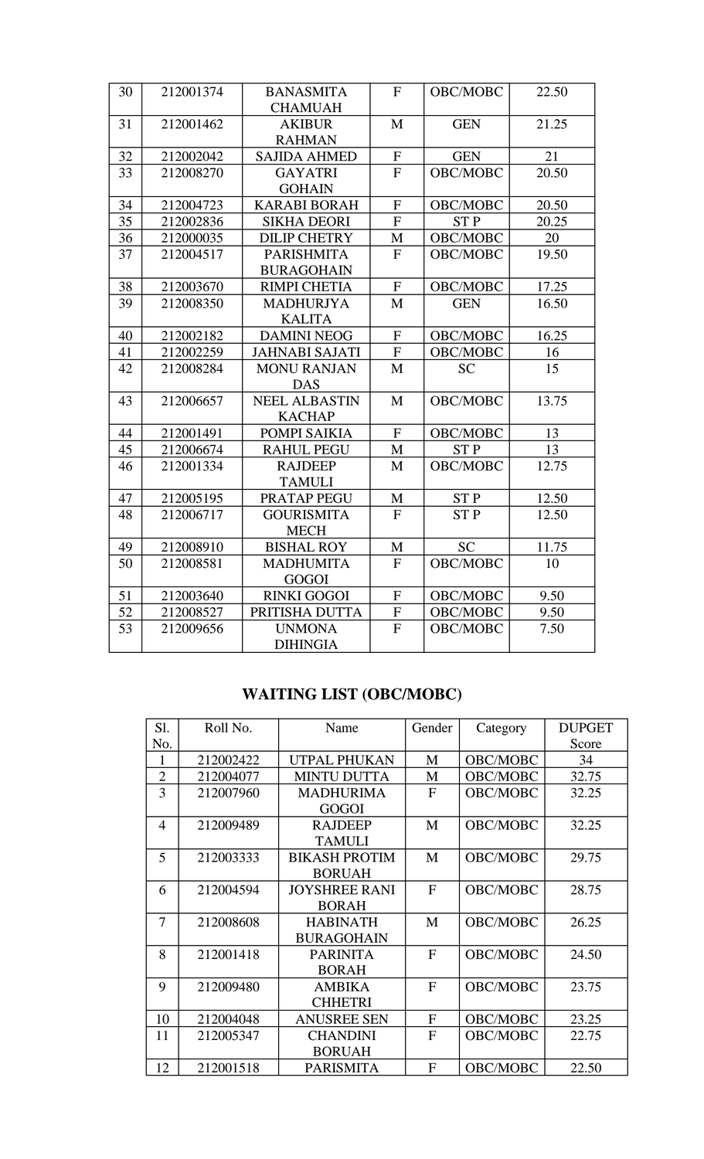| 30 | 212001374 | <b>BANASMITA</b>      | $\mathbf F$    | OBC/MOBC   | 22.50 |
|----|-----------|-----------------------|----------------|------------|-------|
|    |           | <b>CHAMUAH</b>        |                |            |       |
| 31 | 212001462 | <b>AKIBUR</b>         | M              | <b>GEN</b> | 21.25 |
|    |           | <b>RAHMAN</b>         |                |            |       |
| 32 | 212002042 | <b>SAJIDA AHMED</b>   | ${\bf F}$      | <b>GEN</b> | 21    |
| 33 | 212008270 | <b>GAYATRI</b>        | $\overline{F}$ | OBC/MOBC   | 20.50 |
|    |           | <b>GOHAIN</b>         |                |            |       |
| 34 | 212004723 | <b>KARABI BORAH</b>   | ${\bf F}$      | OBC/MOBC   | 20.50 |
| 35 | 212002836 | <b>SIKHA DEORI</b>    | $\mathbf F$    | <b>STP</b> | 20.25 |
| 36 | 212000035 | <b>DILIP CHETRY</b>   | M              | OBC/MOBC   | 20    |
| 37 | 212004517 | <b>PARISHMITA</b>     | $\mathbf{F}$   | OBC/MOBC   | 19.50 |
|    |           | <b>BURAGOHAIN</b>     |                |            |       |
| 38 | 212003670 | <b>RIMPI CHETIA</b>   | $\mathbf F$    | OBC/MOBC   | 17.25 |
| 39 | 212008350 | <b>MADHURJYA</b>      | M              | <b>GEN</b> | 16.50 |
|    |           | <b>KALITA</b>         |                |            |       |
| 40 | 212002182 | <b>DAMINI NEOG</b>    | ${\bf F}$      | OBC/MOBC   | 16.25 |
| 41 | 212002259 | <b>JAHNABI SAJATI</b> | $\mathbf F$    | OBC/MOBC   | 16    |
| 42 | 212008284 | <b>MONU RANJAN</b>    | M              | <b>SC</b>  | 15    |
|    |           | <b>DAS</b>            |                |            |       |
| 43 | 212006657 | <b>NEEL ALBASTIN</b>  | M              | OBC/MOBC   | 13.75 |
|    |           | <b>KACHAP</b>         |                |            |       |
| 44 | 212001491 | POMPI SAIKIA          | ${\bf F}$      | OBC/MOBC   | 13    |
| 45 | 212006674 | <b>RAHUL PEGU</b>     | M              | <b>STP</b> | 13    |
| 46 | 212001334 | <b>RAJDEEP</b>        | $\mathbf{M}$   | OBC/MOBC   | 12.75 |
|    |           | <b>TAMULI</b>         |                |            |       |
| 47 | 212005195 | PRATAP PEGU           | M              | <b>STP</b> | 12.50 |
| 48 | 212006717 | <b>GOURISMITA</b>     | $\mathbf{F}$   | <b>STP</b> | 12.50 |
|    |           | <b>MECH</b>           |                |            |       |
| 49 | 212008910 | <b>BISHAL ROY</b>     | $\mathbf{M}$   | <b>SC</b>  | 11.75 |
| 50 | 212008581 | <b>MADHUMITA</b>      | F              | OBC/MOBC   | 10    |
|    |           | GOGOI                 |                |            |       |
| 51 | 212003640 | <b>RINKI GOGOI</b>    | ${\bf F}$      | OBC/MOBC   | 9.50  |
| 52 | 212008527 | PRITISHA DUTTA        | ${\bf F}$      | OBC/MOBC   | 9.50  |
| 53 | 212009656 | <b>UNMONA</b>         | ${\bf F}$      | OBC/MOBC   | 7.50  |
|    |           | <b>DIHINGIA</b>       |                |            |       |

# **WAITING LIST (OBC/MOBC)**

| Sl.            | Roll No.  | Name                 | Gender       | Category | <b>DUPGET</b> |
|----------------|-----------|----------------------|--------------|----------|---------------|
| No.            |           |                      |              |          | Score         |
| 1              | 212002422 | <b>UTPAL PHUKAN</b>  | M            | OBC/MOBC | 34            |
| $\overline{2}$ | 212004077 | <b>MINTU DUTTA</b>   | M            | OBC/MOBC | 32.75         |
| 3              | 212007960 | <b>MADHURIMA</b>     | F            | OBC/MOBC | 32.25         |
|                |           | <b>GOGOI</b>         |              |          |               |
| $\overline{4}$ | 212009489 | <b>RAJDEEP</b>       | M            | OBC/MOBC | 32.25         |
|                |           | <b>TAMULI</b>        |              |          |               |
| 5              | 212003333 | <b>BIKASH PROTIM</b> | M            | OBC/MOBC | 29.75         |
|                |           | <b>BORUAH</b>        |              |          |               |
| 6              | 212004594 | <b>JOYSHREE RANI</b> | $\mathbf{F}$ | OBC/MOBC | 28.75         |
|                |           | <b>BORAH</b>         |              |          |               |
| 7              | 212008608 | <b>HABINATH</b>      | M            | OBC/MOBC | 26.25         |
|                |           | <b>BURAGOHAIN</b>    |              |          |               |
| 8              | 212001418 | <b>PARINITA</b>      | $\mathbf{F}$ | OBC/MOBC | 24.50         |
|                |           | <b>BORAH</b>         |              |          |               |
| 9              | 212009480 | <b>AMBIKA</b>        | F            | OBC/MOBC | 23.75         |
|                |           | <b>CHHETRI</b>       |              |          |               |
| 10             | 212004048 | <b>ANUSREE SEN</b>   | F            | OBC/MOBC | 23.25         |
| 11             | 212005347 | <b>CHANDINI</b>      | F            | OBC/MOBC | 22.75         |
|                |           | <b>BORUAH</b>        |              |          |               |
| 12             | 212001518 | <b>PARISMITA</b>     | F            | OBC/MOBC | 22.50         |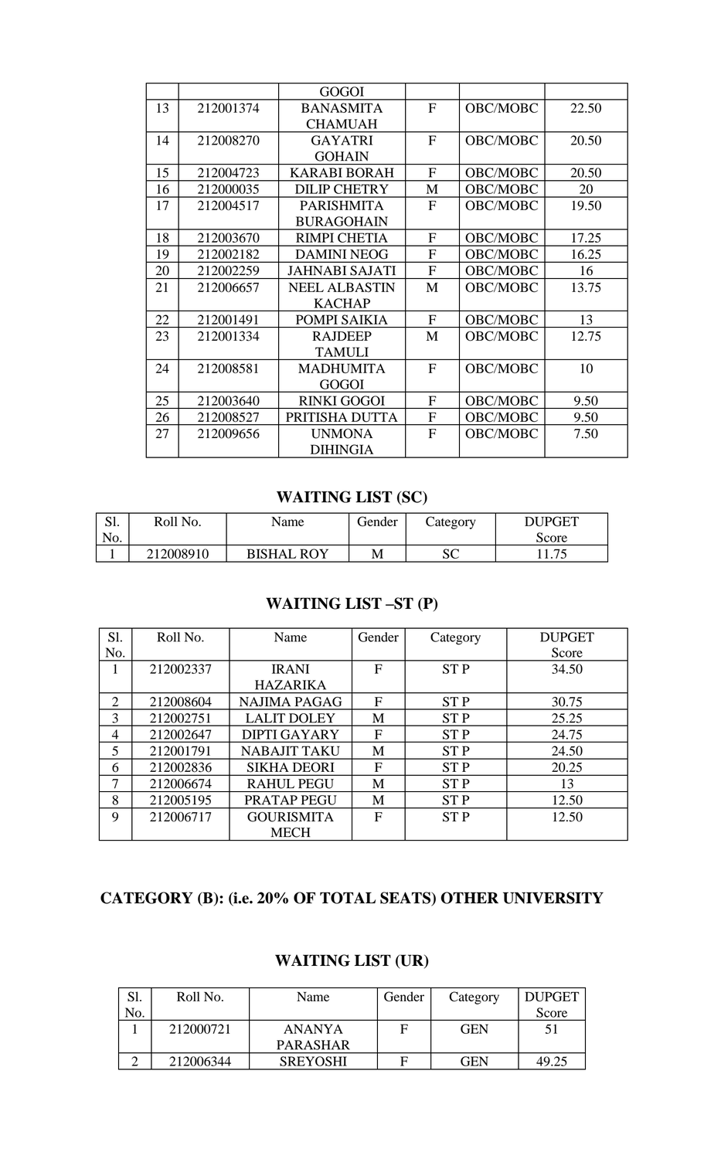|    |           | <b>GOGOI</b>          |              |                 |       |
|----|-----------|-----------------------|--------------|-----------------|-------|
| 13 | 212001374 | <b>BANASMITA</b>      | $\mathbf{F}$ | OBC/MOBC        | 22.50 |
|    |           | <b>CHAMUAH</b>        |              |                 |       |
| 14 | 212008270 | <b>GAYATRI</b>        | $\mathbf{F}$ | <b>OBC/MOBC</b> | 20.50 |
|    |           | <b>GOHAIN</b>         |              |                 |       |
| 15 | 212004723 | <b>KARABI BORAH</b>   | $\mathbf{F}$ | OBC/MOBC        | 20.50 |
| 16 | 212000035 | <b>DILIP CHETRY</b>   | M            | OBC/MOBC        | 20    |
| 17 | 212004517 | <b>PARISHMITA</b>     | $F_{\rm}$    | OBC/MOBC        | 19.50 |
|    |           | <b>BURAGOHAIN</b>     |              |                 |       |
| 18 | 212003670 | <b>RIMPI CHETIA</b>   | $\mathbf F$  | OBC/MOBC        | 17.25 |
| 19 | 212002182 | <b>DAMINI NEOG</b>    | $\mathbf{F}$ | OBC/MOBC        | 16.25 |
| 20 | 212002259 | <b>JAHNABI SAJATI</b> | F            | OBC/MOBC        | 16    |
| 21 | 212006657 | <b>NEEL ALBASTIN</b>  | M            | OBC/MOBC        | 13.75 |
|    |           | <b>KACHAP</b>         |              |                 |       |
| 22 | 212001491 | POMPI SAIKIA          | $\mathbf{F}$ | OBC/MOBC        | 13    |
| 23 | 212001334 | <b>RAJDEEP</b>        | M            | OBC/MOBC        | 12.75 |
|    |           | <b>TAMULI</b>         |              |                 |       |
| 24 | 212008581 | <b>MADHUMITA</b>      | F            | OBC/MOBC        | 10    |
|    |           | <b>GOGOI</b>          |              |                 |       |
| 25 | 212003640 | <b>RINKI GOGOI</b>    | $\mathbf F$  | OBC/MOBC        | 9.50  |
| 26 | 212008527 | PRITISHA DUTTA        | F            | OBC/MOBC        | 9.50  |
| 27 | 212009656 | <b>UNMONA</b>         | F            | OBC/MOBC        | 7.50  |
|    |           | <b>DIHINGIA</b>       |              |                 |       |

### **WAITING LIST (SC)**

| $\sim$ 1<br>ىد | Roll No.  | Name              | Gender | Category | <b>DUPGET</b> |
|----------------|-----------|-------------------|--------|----------|---------------|
| No.            |           |                   |        |          | Score         |
|                | 212008910 | <b>BISHAL ROY</b> | М      | SС       |               |

## **WAITING LIST –ST (P)**

| Sl.                   | Roll No.  | Name                | Gender | Category        | <b>DUPGET</b> |
|-----------------------|-----------|---------------------|--------|-----------------|---------------|
| No.                   |           |                     |        |                 | Score         |
|                       | 212002337 | <b>IRANI</b>        | F      | <b>STP</b>      | 34.50         |
|                       |           | <b>HAZARIKA</b>     |        |                 |               |
| $\mathcal{D}_{\cdot}$ | 212008604 | <b>NAJIMA PAGAG</b> | F      | <b>STP</b>      | 30.75         |
| 3                     | 212002751 | <b>LALIT DOLEY</b>  | M      | <b>STP</b>      | 25.25         |
| 4                     | 212002647 | <b>DIPTI GAYARY</b> | F      | <b>STP</b>      | 24.75         |
| 5                     | 212001791 | <b>NABAJIT TAKU</b> | M      | <b>STP</b>      | 24.50         |
| 6                     | 212002836 | <b>SIKHA DEORI</b>  | F      | <b>STP</b>      | 20.25         |
| 7                     | 212006674 | <b>RAHUL PEGU</b>   | M      | <b>STP</b>      | 13            |
| 8                     | 212005195 | PRATAP PEGU         | M      | ST <sub>P</sub> | 12.50         |
| 9                     | 212006717 | <b>GOURISMITA</b>   | F      | <b>STP</b>      | 12.50         |
|                       |           | <b>MECH</b>         |        |                 |               |

## **CATEGORY (B): (i.e. 20% OF TOTAL SEATS) OTHER UNIVERSITY**

| Sl. | Roll No.  | Name            | Gender | Category   | <b>DUPGET</b> |
|-----|-----------|-----------------|--------|------------|---------------|
| No. |           |                 |        |            | Score         |
|     | 212000721 | <b>ANANYA</b>   | F      | <b>GEN</b> | 5 I           |
|     |           | PARASHAR        |        |            |               |
|     | 212006344 | <b>SREYOSHI</b> | F      | <b>GEN</b> | 49.25         |

## **WAITING LIST (UR)**